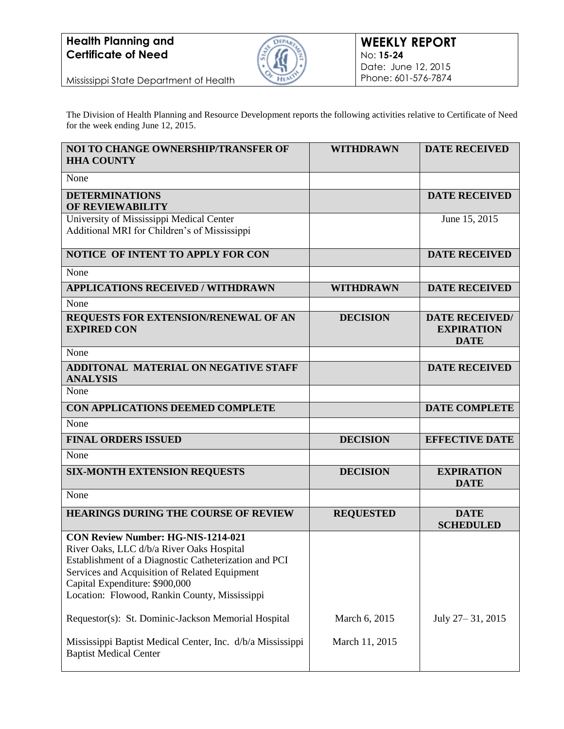## **Health Planning and Certificate of Need**



Mississippi State Department of Health

The Division of Health Planning and Resource Development reports the following activities relative to Certificate of Need for the week ending June 12, 2015.

| <b>NOI TO CHANGE OWNERSHIP/TRANSFER OF</b><br><b>HHA COUNTY</b>                                                                                                                                                                                                                                                                            | <b>WITHDRAWN</b> | <b>DATE RECEIVED</b>                                      |
|--------------------------------------------------------------------------------------------------------------------------------------------------------------------------------------------------------------------------------------------------------------------------------------------------------------------------------------------|------------------|-----------------------------------------------------------|
| None                                                                                                                                                                                                                                                                                                                                       |                  |                                                           |
| <b>DETERMINATIONS</b><br><b>OF REVIEWABILITY</b>                                                                                                                                                                                                                                                                                           |                  | <b>DATE RECEIVED</b>                                      |
| University of Mississippi Medical Center<br>Additional MRI for Children's of Mississippi                                                                                                                                                                                                                                                   |                  | June 15, 2015                                             |
| NOTICE OF INTENT TO APPLY FOR CON                                                                                                                                                                                                                                                                                                          |                  | <b>DATE RECEIVED</b>                                      |
| None                                                                                                                                                                                                                                                                                                                                       |                  |                                                           |
| <b>APPLICATIONS RECEIVED / WITHDRAWN</b>                                                                                                                                                                                                                                                                                                   | <b>WITHDRAWN</b> | <b>DATE RECEIVED</b>                                      |
| None                                                                                                                                                                                                                                                                                                                                       |                  |                                                           |
| REQUESTS FOR EXTENSION/RENEWAL OF AN<br><b>EXPIRED CON</b>                                                                                                                                                                                                                                                                                 | <b>DECISION</b>  | <b>DATE RECEIVED/</b><br><b>EXPIRATION</b><br><b>DATE</b> |
| None                                                                                                                                                                                                                                                                                                                                       |                  |                                                           |
| <b>ADDITONAL MATERIAL ON NEGATIVE STAFF</b><br><b>ANALYSIS</b>                                                                                                                                                                                                                                                                             |                  | <b>DATE RECEIVED</b>                                      |
| None                                                                                                                                                                                                                                                                                                                                       |                  |                                                           |
| CON APPLICATIONS DEEMED COMPLETE                                                                                                                                                                                                                                                                                                           |                  | <b>DATE COMPLETE</b>                                      |
| None                                                                                                                                                                                                                                                                                                                                       |                  |                                                           |
| <b>FINAL ORDERS ISSUED</b>                                                                                                                                                                                                                                                                                                                 | <b>DECISION</b>  | <b>EFFECTIVE DATE</b>                                     |
| None                                                                                                                                                                                                                                                                                                                                       |                  |                                                           |
| <b>SIX-MONTH EXTENSION REQUESTS</b>                                                                                                                                                                                                                                                                                                        | <b>DECISION</b>  | <b>EXPIRATION</b><br><b>DATE</b>                          |
| None                                                                                                                                                                                                                                                                                                                                       |                  |                                                           |
| <b>HEARINGS DURING THE COURSE OF REVIEW</b>                                                                                                                                                                                                                                                                                                | <b>REQUESTED</b> | <b>DATE</b><br><b>SCHEDULED</b>                           |
| <b>CON Review Number: HG-NIS-1214-021</b><br>River Oaks, LLC d/b/a River Oaks Hospital<br>Establishment of a Diagnostic Catheterization and PCI<br>Services and Acquisition of Related Equipment<br>Capital Expenditure: \$900,000<br>Location: Flowood, Rankin County, Mississippi<br>Requestor(s): St. Dominic-Jackson Memorial Hospital | March 6, 2015    | July 27-31, 2015                                          |
| Mississippi Baptist Medical Center, Inc. d/b/a Mississippi<br><b>Baptist Medical Center</b>                                                                                                                                                                                                                                                | March 11, 2015   |                                                           |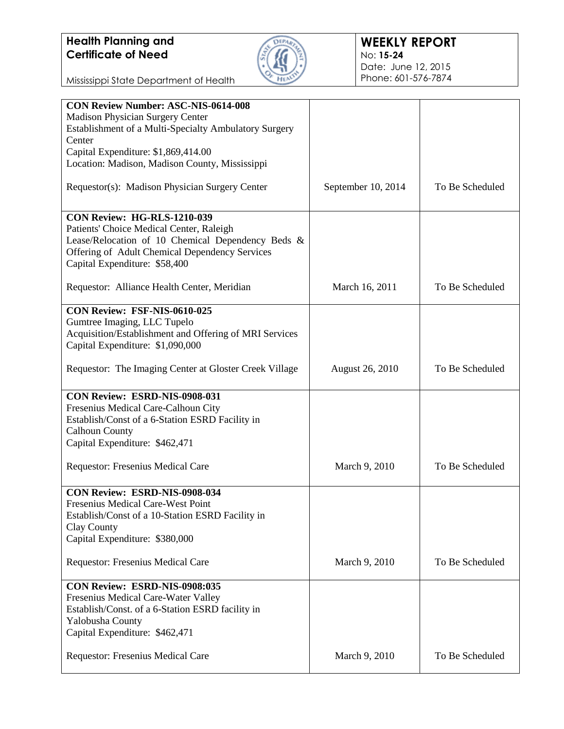## **Health Planning and Certificate of Need**



Mississippi State Department of Health

| <b>CON Review Number: ASC-NIS-0614-008</b>             |                        |                 |
|--------------------------------------------------------|------------------------|-----------------|
| <b>Madison Physician Surgery Center</b>                |                        |                 |
| Establishment of a Multi-Specialty Ambulatory Surgery  |                        |                 |
| Center                                                 |                        |                 |
|                                                        |                        |                 |
| Capital Expenditure: \$1,869,414.00                    |                        |                 |
| Location: Madison, Madison County, Mississippi         |                        |                 |
|                                                        |                        |                 |
| Requestor(s): Madison Physician Surgery Center         | September 10, 2014     | To Be Scheduled |
|                                                        |                        |                 |
|                                                        |                        |                 |
| <b>CON Review: HG-RLS-1210-039</b>                     |                        |                 |
| Patients' Choice Medical Center, Raleigh               |                        |                 |
| Lease/Relocation of 10 Chemical Dependency Beds &      |                        |                 |
|                                                        |                        |                 |
| Offering of Adult Chemical Dependency Services         |                        |                 |
| Capital Expenditure: \$58,400                          |                        |                 |
|                                                        |                        |                 |
| Requestor: Alliance Health Center, Meridian            | March 16, 2011         | To Be Scheduled |
|                                                        |                        |                 |
| CON Review: FSF-NIS-0610-025                           |                        |                 |
| Gumtree Imaging, LLC Tupelo                            |                        |                 |
|                                                        |                        |                 |
| Acquisition/Establishment and Offering of MRI Services |                        |                 |
| Capital Expenditure: \$1,090,000                       |                        |                 |
|                                                        |                        |                 |
| Requestor: The Imaging Center at Gloster Creek Village | <b>August 26, 2010</b> | To Be Scheduled |
|                                                        |                        |                 |
|                                                        |                        |                 |
| CON Review: ESRD-NIS-0908-031                          |                        |                 |
| Fresenius Medical Care-Calhoun City                    |                        |                 |
| Establish/Const of a 6-Station ESRD Facility in        |                        |                 |
| <b>Calhoun County</b>                                  |                        |                 |
| Capital Expenditure: \$462,471                         |                        |                 |
|                                                        |                        |                 |
|                                                        |                        |                 |
| Requestor: Fresenius Medical Care                      | March 9, 2010          | To Be Scheduled |
|                                                        |                        |                 |
| CON Review: ESRD-NIS-0908-034                          |                        |                 |
| Fresenius Medical Care-West Point                      |                        |                 |
|                                                        |                        |                 |
| Establish/Const of a 10-Station ESRD Facility in       |                        |                 |
| Clay County                                            |                        |                 |
| Capital Expenditure: \$380,000                         |                        |                 |
|                                                        |                        |                 |
| Requestor: Fresenius Medical Care                      | March 9, 2010          | To Be Scheduled |
|                                                        |                        |                 |
| CON Review: ESRD-NIS-0908:035                          |                        |                 |
|                                                        |                        |                 |
| Fresenius Medical Care-Water Valley                    |                        |                 |
| Establish/Const. of a 6-Station ESRD facility in       |                        |                 |
| Yalobusha County                                       |                        |                 |
| Capital Expenditure: \$462,471                         |                        |                 |
|                                                        |                        |                 |
| Requestor: Fresenius Medical Care                      | March 9, 2010          | To Be Scheduled |
|                                                        |                        |                 |
|                                                        |                        |                 |